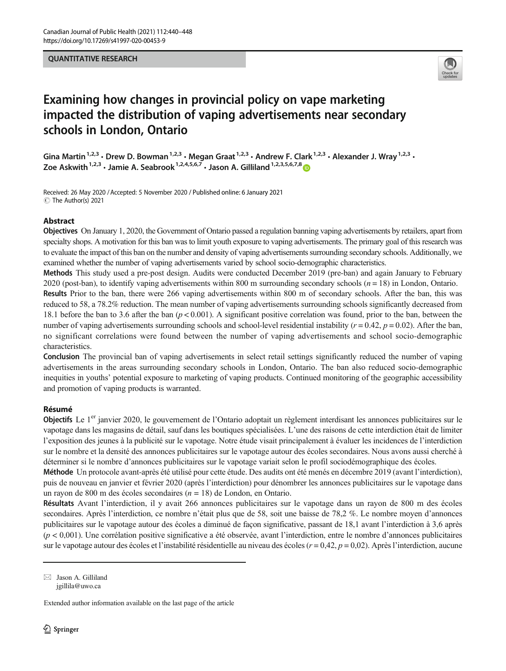# QUANTITATIVE RESEARCH



# Examining how changes in provincial policy on vape marketing impacted the distribution of vaping advertisements near secondary schools in London, Ontario

Gina Martin<sup>1,2,3</sup> • Drew D. Bowman<sup>1,2,3</sup> • Megan Graat<sup>1,2,3</sup> • Andrew F. Clark<sup>1,2,3</sup> • Alexander J. Wray<sup>1,2,3</sup> • Zoe Askwith<sup>1,2,3</sup> · Jamie A. Seabrook<sup>1,2,4,5,6,7</sup> · Jason A. Gilliland<sup>1,2,3,5,6,7,8</sup>

Received: 26 May 2020 / Accepted: 5 November 2020 / Published online: 6 January 2021  $\circledcirc$  The Author(s) 2021

# Abstract

Objectives On January 1, 2020, the Government of Ontario passed a regulation banning vaping advertisements by retailers, apart from specialty shops. A motivation for this ban was to limit youth exposure to vaping advertisements. The primary goal of this research was to evaluate the impact of this ban on the number and density of vaping advertisements surrounding secondary schools. Additionally, we examined whether the number of vaping advertisements varied by school socio-demographic characteristics.

Methods This study used a pre-post design. Audits were conducted December 2019 (pre-ban) and again January to February 2020 (post-ban), to identify vaping advertisements within 800 m surrounding secondary schools  $(n = 18)$  in London, Ontario.

Results Prior to the ban, there were 266 vaping advertisements within 800 m of secondary schools. After the ban, this was reduced to 58, a 78.2% reduction. The mean number of vaping advertisements surrounding schools significantly decreased from 18.1 before the ban to 3.6 after the ban  $(p < 0.001)$ . A significant positive correlation was found, prior to the ban, between the number of vaping advertisements surrounding schools and school-level residential instability ( $r = 0.42$ ,  $p = 0.02$ ). After the ban, no significant correlations were found between the number of vaping advertisements and school socio-demographic characteristics.

Conclusion The provincial ban of vaping advertisements in select retail settings significantly reduced the number of vaping advertisements in the areas surrounding secondary schools in London, Ontario. The ban also reduced socio-demographic inequities in youths' potential exposure to marketing of vaping products. Continued monitoring of the geographic accessibility and promotion of vaping products is warranted.

# Résumé

Objectifs Le 1<sup>er</sup> janvier 2020, le gouvernement de l'Ontario adoptait un règlement interdisant les annonces publicitaires sur le vapotage dans les magasins de détail, sauf dans les boutiques spécialisées. L'une des raisons de cette interdiction était de limiter l'exposition des jeunes à la publicité sur le vapotage. Notre étude visait principalement à évaluer les incidences de l'interdiction sur le nombre et la densité des annonces publicitaires sur le vapotage autour des écoles secondaires. Nous avons aussi cherché à déterminer si le nombre d'annonces publicitaires sur le vapotage variait selon le profil sociodémographique des écoles.

Méthode Un protocole avant-après été utilisé pour cette étude. Des audits ont été menés en décembre 2019 (avant l'interdiction), puis de nouveau en janvier et février 2020 (après l'interdiction) pour dénombrer les annonces publicitaires sur le vapotage dans un rayon de 800 m des écoles secondaires ( $n = 18$ ) de London, en Ontario.

Résultats Avant l'interdiction, il y avait 266 annonces publicitaires sur le vapotage dans un rayon de 800 m des écoles secondaires. Après l'interdiction, ce nombre n'était plus que de 58, soit une baisse de 78,2 %. Le nombre moyen d'annonces publicitaires sur le vapotage autour des écoles a diminué de façon significative, passant de 18,1 avant l'interdiction à 3,6 après (p < 0,001). Une corrélation positive significative a été observée, avant l'interdiction, entre le nombre d'annonces publicitaires sur le vapotage autour des écoles et l'instabilité résidentielle au niveau des écoles ( $r = 0.42$ ,  $p = 0.02$ ). Après l'interdiction, aucune

 $\boxtimes$  Jason A. Gilliland [jgillila@uwo.ca](mailto:jgillila@uwo.ca)

Extended author information available on the last page of the article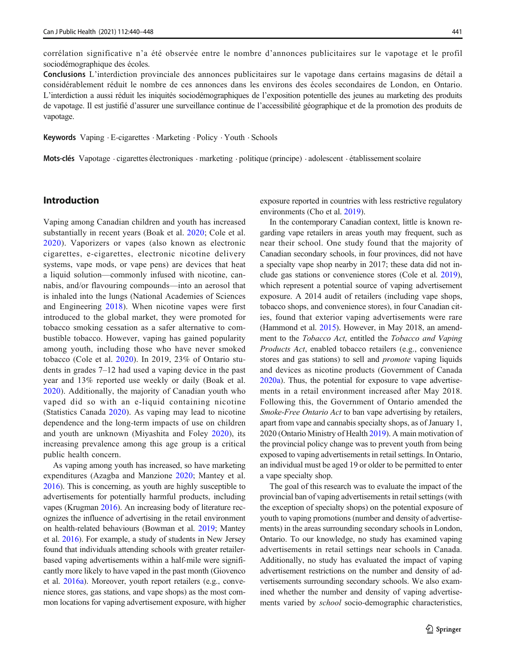corrélation significative n'a été observée entre le nombre d'annonces publicitaires sur le vapotage et le profil sociodémographique des écoles.

Conclusions L'interdiction provinciale des annonces publicitaires sur le vapotage dans certains magasins de détail a considérablement réduit le nombre de ces annonces dans les environs des écoles secondaires de London, en Ontario. L'interdiction a aussi réduit les iniquités sociodémographiques de l'exposition potentielle des jeunes au marketing des produits de vapotage. Il est justifié d'assurer une surveillance continue de l'accessibilité géographique et de la promotion des produits de vapotage.

Keywords Vaping · E-cigarettes · Marketing · Policy · Youth · Schools

Mots-clés Vapotage . cigarettes électroniques . marketing . politique (principe) . adolescent . établissement scolaire

# Introduction

Vaping among Canadian children and youth has increased substantially in recent years (Boak et al. [2020;](#page-7-0) Cole et al. [2020](#page-7-0)). Vaporizers or vapes (also known as electronic cigarettes, e-cigarettes, electronic nicotine delivery systems, vape mods, or vape pens) are devices that heat a liquid solution—commonly infused with nicotine, cannabis, and/or flavouring compounds—into an aerosol that is inhaled into the lungs (National Academies of Sciences and Engineering [2018\)](#page-7-0). When nicotine vapes were first introduced to the global market, they were promoted for tobacco smoking cessation as a safer alternative to combustible tobacco. However, vaping has gained popularity among youth, including those who have never smoked tobacco (Cole et al. [2020](#page-7-0)). In 2019, 23% of Ontario students in grades 7–12 had used a vaping device in the past year and 13% reported use weekly or daily (Boak et al. [2020](#page-7-0)). Additionally, the majority of Canadian youth who vaped did so with an e-liquid containing nicotine (Statistics Canada [2020\)](#page-8-0). As vaping may lead to nicotine dependence and the long-term impacts of use on children and youth are unknown (Miyashita and Foley [2020\)](#page-7-0), its increasing prevalence among this age group is a critical public health concern.

As vaping among youth has increased, so have marketing expenditures (Azagba and Manzione [2020](#page-7-0); Mantey et al. [2016\)](#page-7-0). This is concerning, as youth are highly susceptible to advertisements for potentially harmful products, including vapes (Krugman [2016](#page-7-0)). An increasing body of literature recognizes the influence of advertising in the retail environment on health-related behaviours (Bowman et al. [2019;](#page-7-0) Mantey et al. [2016\)](#page-7-0). For example, a study of students in New Jersey found that individuals attending schools with greater retailerbased vaping advertisements within a half-mile were significantly more likely to have vaped in the past month (Giovenco et al. [2016a\)](#page-7-0). Moreover, youth report retailers (e.g., convenience stores, gas stations, and vape shops) as the most common locations for vaping advertisement exposure, with higher exposure reported in countries with less restrictive regulatory environments (Cho et al. [2019\)](#page-7-0).

In the contemporary Canadian context, little is known regarding vape retailers in areas youth may frequent, such as near their school. One study found that the majority of Canadian secondary schools, in four provinces, did not have a specialty vape shop nearby in 2017; these data did not include gas stations or convenience stores (Cole et al. [2019\)](#page-7-0), which represent a potential source of vaping advertisement exposure. A 2014 audit of retailers (including vape shops, tobacco shops, and convenience stores), in four Canadian cities, found that exterior vaping advertisements were rare (Hammond et al. [2015\)](#page-7-0). However, in May 2018, an amendment to the Tobacco Act, entitled the Tobacco and Vaping Products Act, enabled tobacco retailers (e.g., convenience stores and gas stations) to sell and promote vaping liquids and devices as nicotine products (Government of Canada [2020a](#page-7-0)). Thus, the potential for exposure to vape advertisements in a retail environment increased after May 2018. Following this, the Government of Ontario amended the Smoke-Free Ontario Act to ban vape advertising by retailers, apart from vape and cannabis specialty shops, as of January 1, 2020 (Ontario Ministry of Health [2019\)](#page-7-0). A main motivation of the provincial policy change was to prevent youth from being exposed to vaping advertisements in retail settings. In Ontario, an individual must be aged 19 or older to be permitted to enter a vape specialty shop.

The goal of this research was to evaluate the impact of the provincial ban of vaping advertisements in retail settings (with the exception of specialty shops) on the potential exposure of youth to vaping promotions (number and density of advertisements) in the areas surrounding secondary schools in London, Ontario. To our knowledge, no study has examined vaping advertisements in retail settings near schools in Canada. Additionally, no study has evaluated the impact of vaping advertisement restrictions on the number and density of advertisements surrounding secondary schools. We also examined whether the number and density of vaping advertisements varied by school socio-demographic characteristics,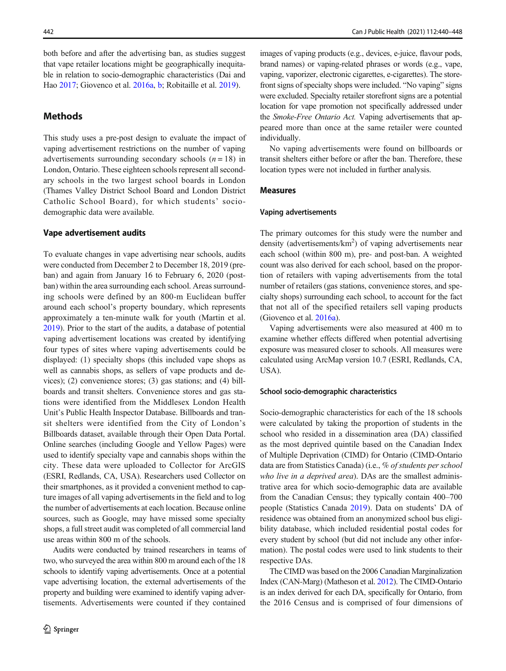both before and after the advertising ban, as studies suggest that vape retailer locations might be geographically inequitable in relation to socio-demographic characteristics (Dai and Hao [2017;](#page-7-0) Giovenco et al. [2016a,](#page-7-0) [b;](#page-7-0) Robitaille et al. [2019\)](#page-7-0).

# **Methods**

This study uses a pre-post design to evaluate the impact of vaping advertisement restrictions on the number of vaping advertisements surrounding secondary schools  $(n = 18)$  in London, Ontario. These eighteen schools represent all secondary schools in the two largest school boards in London (Thames Valley District School Board and London District Catholic School Board), for which students' sociodemographic data were available.

### Vape advertisement audits

To evaluate changes in vape advertising near schools, audits were conducted from December 2 to December 18, 2019 (preban) and again from January 16 to February 6, 2020 (postban) within the area surrounding each school. Areas surrounding schools were defined by an 800-m Euclidean buffer around each school's property boundary, which represents approximately a ten-minute walk for youth (Martin et al. [2019\)](#page-7-0). Prior to the start of the audits, a database of potential vaping advertisement locations was created by identifying four types of sites where vaping advertisements could be displayed: (1) specialty shops (this included vape shops as well as cannabis shops, as sellers of vape products and devices); (2) convenience stores; (3) gas stations; and (4) billboards and transit shelters. Convenience stores and gas stations were identified from the Middlesex London Health Unit's Public Health Inspector Database. Billboards and transit shelters were identified from the City of London's Billboards dataset, available through their Open Data Portal. Online searches (including Google and Yellow Pages) were used to identify specialty vape and cannabis shops within the city. These data were uploaded to Collector for ArcGIS (ESRI, Redlands, CA, USA). Researchers used Collector on their smartphones, as it provided a convenient method to capture images of all vaping advertisements in the field and to log the number of advertisements at each location. Because online sources, such as Google, may have missed some specialty shops, a full street audit was completed of all commercial land use areas within 800 m of the schools.

Audits were conducted by trained researchers in teams of two, who surveyed the area within 800 m around each of the 18 schools to identify vaping advertisements. Once at a potential vape advertising location, the external advertisements of the property and building were examined to identify vaping advertisements. Advertisements were counted if they contained

images of vaping products (e.g., devices, e-juice, flavour pods, brand names) or vaping-related phrases or words (e.g., vape, vaping, vaporizer, electronic cigarettes, e-cigarettes). The storefront signs of specialty shops were included. "No vaping" signs were excluded. Specialty retailer storefront signs are a potential location for vape promotion not specifically addressed under the Smoke-Free Ontario Act. Vaping advertisements that appeared more than once at the same retailer were counted individually.

No vaping advertisements were found on billboards or transit shelters either before or after the ban. Therefore, these location types were not included in further analysis.

### Measures

#### Vaping advertisements

The primary outcomes for this study were the number and density (advertisements/km<sup>2</sup>) of vaping advertisements near each school (within 800 m), pre- and post-ban. A weighted count was also derived for each school, based on the proportion of retailers with vaping advertisements from the total number of retailers (gas stations, convenience stores, and specialty shops) surrounding each school, to account for the fact that not all of the specified retailers sell vaping products (Giovenco et al. [2016a](#page-7-0)).

Vaping advertisements were also measured at 400 m to examine whether effects differed when potential advertising exposure was measured closer to schools. All measures were calculated using ArcMap version 10.7 (ESRI, Redlands, CA, USA).

#### School socio-demographic characteristics

Socio-demographic characteristics for each of the 18 schools were calculated by taking the proportion of students in the school who resided in a dissemination area (DA) classified as the most deprived quintile based on the Canadian Index of Multiple Deprivation (CIMD) for Ontario (CIMD-Ontario data are from Statistics Canada) (i.e., % of students per school who live in a deprived area). DAs are the smallest administrative area for which socio-demographic data are available from the Canadian Census; they typically contain 400–700 people (Statistics Canada [2019\)](#page-8-0). Data on students' DA of residence was obtained from an anonymized school bus eligibility database, which included residential postal codes for every student by school (but did not include any other information). The postal codes were used to link students to their respective DAs.

The CIMD was based on the 2006 Canadian Marginalization Index (CAN-Marg) (Matheson et al. [2012](#page-7-0)). The CIMD-Ontario is an index derived for each DA, specifically for Ontario, from the 2016 Census and is comprised of four dimensions of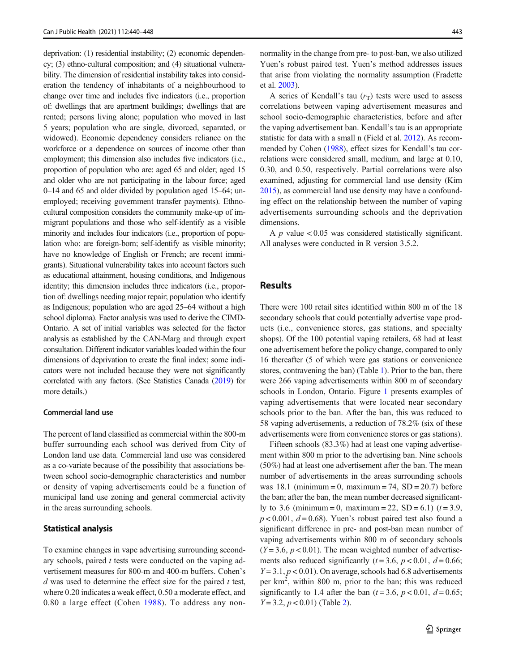deprivation: (1) residential instability; (2) economic dependency; (3) ethno-cultural composition; and (4) situational vulnerability. The dimension of residential instability takes into consideration the tendency of inhabitants of a neighbourhood to change over time and includes five indicators (i.e., proportion of: dwellings that are apartment buildings; dwellings that are rented; persons living alone; population who moved in last 5 years; population who are single, divorced, separated, or widowed). Economic dependency considers reliance on the workforce or a dependence on sources of income other than employment; this dimension also includes five indicators (i.e., proportion of population who are: aged 65 and older; aged 15 and older who are not participating in the labour force; aged 0–14 and 65 and older divided by population aged 15–64; unemployed; receiving government transfer payments). Ethnocultural composition considers the community make-up of immigrant populations and those who self-identify as a visible minority and includes four indicators (i.e., proportion of population who: are foreign-born; self-identify as visible minority; have no knowledge of English or French; are recent immigrants). Situational vulnerability takes into account factors such as educational attainment, housing conditions, and Indigenous identity; this dimension includes three indicators (i.e., proportion of: dwellings needing major repair; population who identify as Indigenous; population who are aged 25–64 without a high school diploma). Factor analysis was used to derive the CIMD-Ontario. A set of initial variables was selected for the factor analysis as established by the CAN-Marg and through expert consultation. Different indicator variables loaded within the four dimensions of deprivation to create the final index; some indicators were not included because they were not significantly correlated with any factors. (See Statistics Canada [\(2019\)](#page-8-0) for more details.)

### Commercial land use

The percent of land classified as commercial within the 800-m buffer surrounding each school was derived from City of London land use data. Commercial land use was considered as a co-variate because of the possibility that associations between school socio-demographic characteristics and number or density of vaping advertisements could be a function of municipal land use zoning and general commercial activity in the areas surrounding schools.

# Statistical analysis

To examine changes in vape advertising surrounding secondary schools, paired t tests were conducted on the vaping advertisement measures for 800-m and 400-m buffers. Cohen's  $d$  was used to determine the effect size for the paired  $t$  test, where 0.20 indicates a weak effect, 0.50 a moderate effect, and 0.80 a large effect (Cohen [1988](#page-7-0)). To address any nonnormality in the change from pre- to post-ban, we also utilized Yuen's robust paired test. Yuen's method addresses issues that arise from violating the normality assumption (Fradette et al. [2003](#page-7-0)).

A series of Kendall's tau  $(r<sub>T</sub>)$  tests were used to assess correlations between vaping advertisement measures and school socio-demographic characteristics, before and after the vaping advertisement ban. Kendall's tau is an appropriate statistic for data with a small n (Field et al. [2012](#page-7-0)). As recommended by Cohen ([1988](#page-7-0)), effect sizes for Kendall's tau correlations were considered small, medium, and large at 0.10, 0.30, and 0.50, respectively. Partial correlations were also examined, adjusting for commercial land use density (Kim [2015\)](#page-7-0), as commercial land use density may have a confounding effect on the relationship between the number of vaping advertisements surrounding schools and the deprivation dimensions.

A  $p$  value  $< 0.05$  was considered statistically significant. All analyses were conducted in R version 3.5.2.

# Results

There were 100 retail sites identified within 800 m of the 18 secondary schools that could potentially advertise vape products (i.e., convenience stores, gas stations, and specialty shops). Of the 100 potential vaping retailers, 68 had at least one advertisement before the policy change, compared to only 16 thereafter (5 of which were gas stations or convenience stores, contravening the ban) (Table [1](#page-4-0)). Prior to the ban, there were 266 vaping advertisements within 800 m of secondary schools in London, Ontario. Figure [1](#page-4-0) presents examples of vaping advertisements that were located near secondary schools prior to the ban. After the ban, this was reduced to 58 vaping advertisements, a reduction of 78.2% (six of these advertisements were from convenience stores or gas stations).

Fifteen schools (83.3%) had at least one vaping advertisement within 800 m prior to the advertising ban. Nine schools (50%) had at least one advertisement after the ban. The mean number of advertisements in the areas surrounding schools was 18.1 (minimum = 0, maximum = 74,  $SD = 20.7$ ) before the ban; after the ban, the mean number decreased significantly to 3.6 (minimum = 0, maximum = 22, SD = 6.1)  $(t = 3.9,$  $p < 0.001$ ,  $d = 0.68$ ). Yuen's robust paired test also found a significant difference in pre- and post-ban mean number of vaping advertisements within 800 m of secondary schools  $(Y = 3.6, p < 0.01)$ . The mean weighted number of advertisements also reduced significantly ( $t = 3.6$ ,  $p < 0.01$ ,  $d = 0.66$ ;  $Y = 3.1, p < 0.01$ ). On average, schools had 6.8 advertisements per km<sup>2</sup>, within 800 m, prior to the ban; this was reduced significantly to 1.4 after the ban ( $t = 3.6$ ,  $p < 0.01$ ,  $d = 0.65$ ;  $Y = 3.2, p < 0.01$  $Y = 3.2, p < 0.01$  $Y = 3.2, p < 0.01$ ) (Table 2).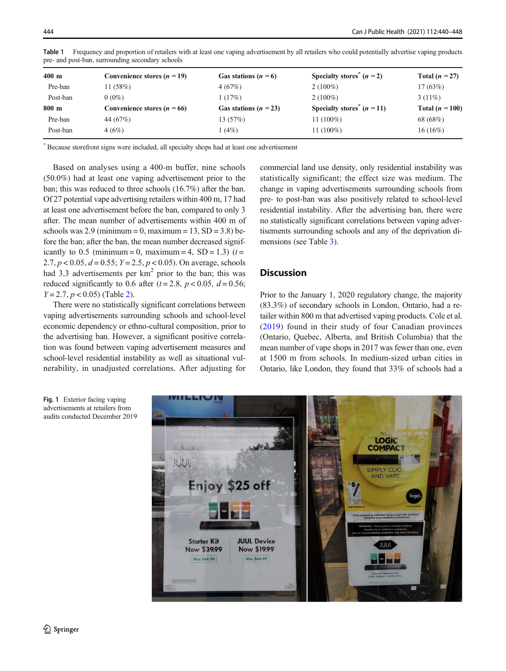| $400 \text{ m}$ | Convenience stores $(n = 19)$ | Gas stations $(n = 6)$  | Specialty stores <sup>"</sup> $(n = 2)$  | Total $(n = 27)$  |
|-----------------|-------------------------------|-------------------------|------------------------------------------|-------------------|
| Pre-ban         | 11(58%)                       | 4(67%)                  | $2(100\%)$                               | 17(63%)           |
| Post-ban        | $0(0\%)$                      | 1 (17%)                 | $2(100\%)$                               | $3(11\%)$         |
| $800 \text{ m}$ | Convenience stores $(n = 66)$ | Gas stations $(n = 23)$ | Specialty stores <sup>*</sup> $(n = 11)$ | Total $(n = 100)$ |
| Pre-ban         | 44 (67\%)                     | 13 (57%)                | 11 $(100\%)$                             | 68 (68%)          |
| Post-ban        | 4(6%)                         | (4%)                    | 11 $(100\%)$                             | $16(16\%)$        |
|                 |                               |                         |                                          |                   |

<span id="page-4-0"></span>Table 1 Frequency and proportion of retailers with at least one vaping advertisement by all retailers who could potentially advertise vaping products pre- and post-ban, surrounding secondary schools

\*Because storefront signs were included, all specialty shops had at least one advertisement

Based on analyses using a 400-m buffer, nine schools (50.0%) had at least one vaping advertisement prior to the ban; this was reduced to three schools (16.7%) after the ban. Of 27 potential vape advertising retailers within 400 m, 17 had at least one advertisement before the ban, compared to only 3 after. The mean number of advertisements within 400 m of schools was  $2.9 \text{ (minimum} = 0, \text{ maximum} = 13, \text{ SD} = 3.8)$  before the ban; after the ban, the mean number decreased significantly to 0.5 (minimum = 0, maximum = 4,  $SD = 1.3$ ) (t = 2.7,  $p < 0.05$ ,  $d = 0.55$ ;  $Y = 2.5$ ,  $p < 0.05$ ). On average, schools had 3.3 advertisements per km<sup>2</sup> prior to the ban; this was reduced significantly to 0.6 after ( $t = 2.8$ ,  $p < 0.05$ ,  $d = 0.56$ ;  $Y = 2.7$  $Y = 2.7$  $Y = 2.7$ ,  $p < 0.05$ ) (Table 2).

There were no statistically significant correlations between vaping advertisements surrounding schools and school-level economic dependency or ethno-cultural composition, prior to the advertising ban. However, a significant positive correlation was found between vaping advertisement measures and school-level residential instability as well as situational vulnerability, in unadjusted correlations. After adjusting for commercial land use density, only residential instability was statistically significant; the effect size was medium. The change in vaping advertisements surrounding schools from pre- to post-ban was also positively related to school-level residential instability. After the advertising ban, there were no statistically significant correlations between vaping advertisements surrounding schools and any of the deprivation dimensions (see Table [3](#page-5-0)).

# **Discussion**

Prior to the January 1, 2020 regulatory change, the majority (83.3%) of secondary schools in London, Ontario, had a retailer within 800 m that advertised vaping products. Cole et al. ([2019](#page-7-0)) found in their study of four Canadian provinces (Ontario, Quebec, Alberta, and British Columbia) that the mean number of vape shops in 2017 was fewer than one, even at 1500 m from schools. In medium-sized urban cities in Ontario, like London, they found that 33% of schools had a



Fig. 1 Exterior facing vaping advertisements at retailers from audits conducted December 2019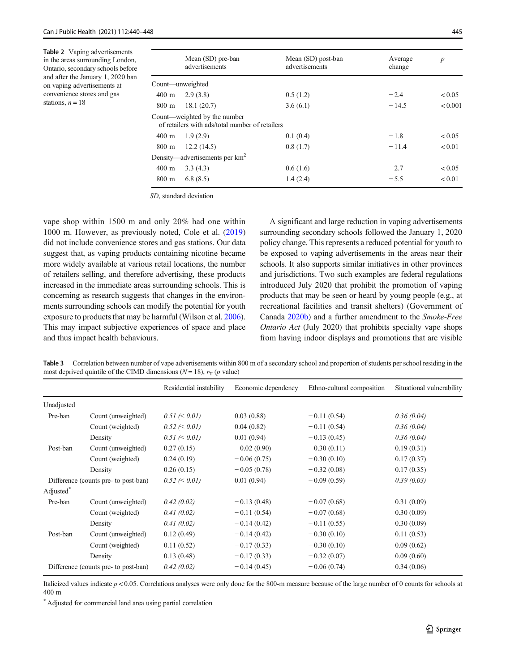<span id="page-5-0"></span>Table 2 Vaping advertisements in the areas surrounding London, Ontario, secondary schools before and after the January 1, 2020 ban on vaping advertisements at convenience stores and gas stations,  $n = 18$ 

|                 | Mean (SD) pre-ban<br>advertisements                                             | Mean (SD) post-ban<br>advertisements | Average<br>change | $\boldsymbol{p}$ |
|-----------------|---------------------------------------------------------------------------------|--------------------------------------|-------------------|------------------|
|                 | Count—unweighted                                                                |                                      |                   |                  |
| $400 \text{ m}$ | 2.9(3.8)                                                                        | 0.5(1.2)                             | $-2.4$            | < 0.05           |
| 800 m           | 18.1(20.7)                                                                      | 3.6(6.1)                             | $-14.5$           | < 0.001          |
|                 | Count—weighted by the number<br>of retailers with ads/total number of retailers |                                      |                   |                  |
| $400 \text{ m}$ | 1.9(2.9)                                                                        | 0.1(0.4)                             | $-1.8$            | < 0.05           |
| $800 \text{ m}$ | 12.2(14.5)                                                                      | 0.8(1.7)                             | $-11.4$           | < 0.01           |
|                 | Density—advertisements per $km2$                                                |                                      |                   |                  |
| $400 \text{ m}$ | 3.3(4.3)                                                                        | 0.6(1.6)                             | $-2.7$            | < 0.05           |
| $800 \text{ m}$ | 6.8(8.5)                                                                        | 1.4(2.4)                             | $-5.5$            | < 0.01           |
|                 |                                                                                 |                                      |                   |                  |

SD, standard deviation

vape shop within 1500 m and only 20% had one within 1000 m. However, as previously noted, Cole et al. [\(2019\)](#page-7-0) did not include convenience stores and gas stations. Our data suggest that, as vaping products containing nicotine became more widely available at various retail locations, the number of retailers selling, and therefore advertising, these products increased in the immediate areas surrounding schools. This is concerning as research suggests that changes in the environments surrounding schools can modify the potential for youth exposure to products that may be harmful (Wilson et al. [2006\)](#page-8-0). This may impact subjective experiences of space and place and thus impact health behaviours.

A significant and large reduction in vaping advertisements surrounding secondary schools followed the January 1, 2020 policy change. This represents a reduced potential for youth to be exposed to vaping advertisements in the areas near their schools. It also supports similar initiatives in other provinces and jurisdictions. Two such examples are federal regulations introduced July 2020 that prohibit the promotion of vaping products that may be seen or heard by young people (e.g., at recreational facilities and transit shelters) (Government of Canada [2020b\)](#page-7-0) and a further amendment to the Smoke-Free Ontario Act (July 2020) that prohibits specialty vape shops from having indoor displays and promotions that are visible

Table 3 Correlation between number of vape advertisements within 800 m of a secondary school and proportion of students per school residing in the most deprived quintile of the CIMD dimensions ( $N = 18$ ),  $r_T$  (p value)

|                                      |                    | Residential instability | Economic dependency | Ethno-cultural composition | Situational vulnerability |
|--------------------------------------|--------------------|-------------------------|---------------------|----------------------------|---------------------------|
| Unadjusted                           |                    |                         |                     |                            |                           |
| Pre-ban                              | Count (unweighted) | $0.51 \leq 0.01$        | 0.03(0.88)          | $-0.11(0.54)$              | 0.36(0.04)                |
|                                      | Count (weighted)   | $0.52 \leq 0.01$        | 0.04(0.82)          | $-0.11(0.54)$              | 0.36(0.04)                |
|                                      | Density            | $0.51 \le 0.01$         | 0.01(0.94)          | $-0.13(0.45)$              | 0.36(0.04)                |
| Post-ban                             | Count (unweighted) | 0.27(0.15)              | $-0.02(0.90)$       | $-0.30(0.11)$              | 0.19(0.31)                |
|                                      | Count (weighted)   | 0.24(0.19)              | $-0.06(0.75)$       | $-0.30(0.10)$              | 0.17(0.37)                |
|                                      | Density            | 0.26(0.15)              | $-0.05(0.78)$       | $-0.32(0.08)$              | 0.17(0.35)                |
| Difference (counts pre- to post-ban) |                    | $0.52 \le 0.01$         | 0.01(0.94)          | $-0.09(0.59)$              | 0.39(0.03)                |
| Adjusted <sup>®</sup>                |                    |                         |                     |                            |                           |
| Pre-ban                              | Count (unweighted) | 0.42(0.02)              | $-0.13(0.48)$       | $-0.07(0.68)$              | 0.31(0.09)                |
|                                      | Count (weighted)   | 0.41(0.02)              | $-0.11(0.54)$       | $-0.07(0.68)$              | 0.30(0.09)                |
|                                      | Density            | 0.41(0.02)              | $-0.14(0.42)$       | $-0.11(0.55)$              | 0.30(0.09)                |
| Post-ban                             | Count (unweighted) | 0.12(0.49)              | $-0.14(0.42)$       | $-0.30(0.10)$              | 0.11(0.53)                |
|                                      | Count (weighted)   | 0.11(0.52)              | $-0.17(0.33)$       | $-0.30(0.10)$              | 0.09(0.62)                |
|                                      | Density            | 0.13(0.48)              | $-0.17(0.33)$       | $-0.32(0.07)$              | 0.09(0.60)                |
| Difference (counts pre- to post-ban) |                    | 0.42(0.02)              | $-0.14(0.45)$       | $-0.06(0.74)$              | 0.34(0.06)                |
|                                      |                    |                         |                     |                            |                           |

Italicized values indicate  $p < 0.05$ . Correlations analyses were only done for the 800-m measure because of the large number of 0 counts for schools at 400 m

\* Adjusted for commercial land area using partial correlation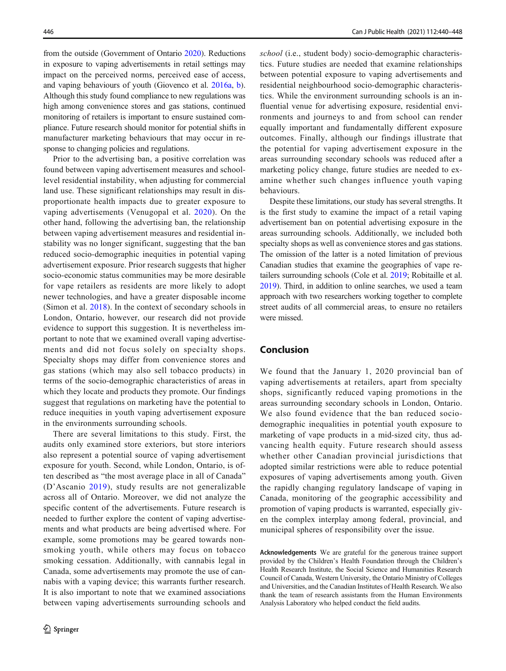from the outside (Government of Ontario [2020\)](#page-7-0). Reductions in exposure to vaping advertisements in retail settings may impact on the perceived norms, perceived ease of access, and vaping behaviours of youth (Giovenco et al. [2016a,](#page-7-0) [b\)](#page-7-0). Although this study found compliance to new regulations was high among convenience stores and gas stations, continued monitoring of retailers is important to ensure sustained compliance. Future research should monitor for potential shifts in manufacturer marketing behaviours that may occur in response to changing policies and regulations.

Prior to the advertising ban, a positive correlation was found between vaping advertisement measures and schoollevel residential instability, when adjusting for commercial land use. These significant relationships may result in disproportionate health impacts due to greater exposure to vaping advertisements (Venugopal et al. [2020\)](#page-8-0). On the other hand, following the advertising ban, the relationship between vaping advertisement measures and residential instability was no longer significant, suggesting that the ban reduced socio-demographic inequities in potential vaping advertisement exposure. Prior research suggests that higher socio-economic status communities may be more desirable for vape retailers as residents are more likely to adopt newer technologies, and have a greater disposable income (Simon et al. [2018](#page-7-0)). In the context of secondary schools in London, Ontario, however, our research did not provide evidence to support this suggestion. It is nevertheless important to note that we examined overall vaping advertisements and did not focus solely on specialty shops. Specialty shops may differ from convenience stores and gas stations (which may also sell tobacco products) in terms of the socio-demographic characteristics of areas in which they locate and products they promote. Our findings suggest that regulations on marketing have the potential to reduce inequities in youth vaping advertisement exposure in the environments surrounding schools.

There are several limitations to this study. First, the audits only examined store exteriors, but store interiors also represent a potential source of vaping advertisement exposure for youth. Second, while London, Ontario, is often described as "the most average place in all of Canada" (D'Ascanio [2019](#page-7-0)), study results are not generalizable across all of Ontario. Moreover, we did not analyze the specific content of the advertisements. Future research is needed to further explore the content of vaping advertisements and what products are being advertised where. For example, some promotions may be geared towards nonsmoking youth, while others may focus on tobacco smoking cessation. Additionally, with cannabis legal in Canada, some advertisements may promote the use of cannabis with a vaping device; this warrants further research. It is also important to note that we examined associations between vaping advertisements surrounding schools and school (i.e., student body) socio-demographic characteristics. Future studies are needed that examine relationships between potential exposure to vaping advertisements and residential neighbourhood socio-demographic characteristics. While the environment surrounding schools is an influential venue for advertising exposure, residential environments and journeys to and from school can render equally important and fundamentally different exposure outcomes. Finally, although our findings illustrate that the potential for vaping advertisement exposure in the areas surrounding secondary schools was reduced after a marketing policy change, future studies are needed to examine whether such changes influence youth vaping behaviours.

Despite these limitations, our study has several strengths. It is the first study to examine the impact of a retail vaping advertisement ban on potential advertising exposure in the areas surrounding schools. Additionally, we included both specialty shops as well as convenience stores and gas stations. The omission of the latter is a noted limitation of previous Canadian studies that examine the geographies of vape retailers surrounding schools (Cole et al. [2019](#page-7-0); Robitaille et al. [2019\)](#page-7-0). Third, in addition to online searches, we used a team approach with two researchers working together to complete street audits of all commercial areas, to ensure no retailers were missed.

# Conclusion

We found that the January 1, 2020 provincial ban of vaping advertisements at retailers, apart from specialty shops, significantly reduced vaping promotions in the areas surrounding secondary schools in London, Ontario. We also found evidence that the ban reduced sociodemographic inequalities in potential youth exposure to marketing of vape products in a mid-sized city, thus advancing health equity. Future research should assess whether other Canadian provincial jurisdictions that adopted similar restrictions were able to reduce potential exposures of vaping advertisements among youth. Given the rapidly changing regulatory landscape of vaping in Canada, monitoring of the geographic accessibility and promotion of vaping products is warranted, especially given the complex interplay among federal, provincial, and municipal spheres of responsibility over the issue.

Acknowledgements We are grateful for the generous trainee support provided by the Children's Health Foundation through the Children's Health Research Institute, the Social Science and Humanities Research Council of Canada, Western University, the Ontario Ministry of Colleges and Universities, and the Canadian Institutes of Health Research. We also thank the team of research assistants from the Human Environments Analysis Laboratory who helped conduct the field audits.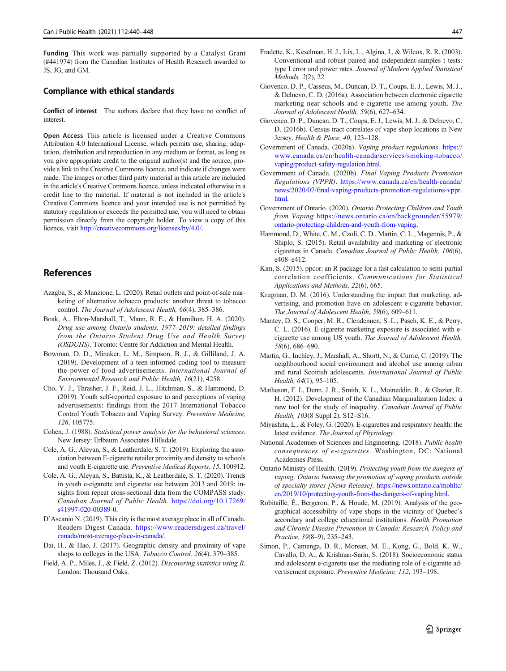<span id="page-7-0"></span>Funding This work was partially supported by a Catalyst Grant (#441974) from the Canadian Institutes of Health Research awarded to JS, JG, and GM.

### Compliance with ethical standards

Conflict of interest The authors declare that they have no conflict of interest.

Open Access This article is licensed under a Creative Commons Attribution 4.0 International License, which permits use, sharing, adaptation, distribution and reproduction in any medium or format, as long as you give appropriate credit to the original author(s) and the source, provide a link to the Creative Commons licence, and indicate if changes were made. The images or other third party material in this article are included in the article's Creative Commons licence, unless indicated otherwise in a credit line to the material. If material is not included in the article's Creative Commons licence and your intended use is not permitted by statutory regulation or exceeds the permitted use, you will need to obtain permission directly from the copyright holder. To view a copy of this licence, visit [http://creativecommons.org/licenses/by/4.0/](https://doi.org/).

# References

- Azagba, S., & Manzione, L. (2020). Retail outlets and point-of-sale marketing of alternative tobacco products: another threat to tobacco control. The Journal of Adolescent Health, 66(4), 385–386.
- Boak, A., Elton-Marshall, T., Mann, R. E., & Hamilton, H. A. (2020). Drug use among Ontario students, 1977–2019: detailed findings from the Ontario Student Drug Use and Health Survey (OSDUHS). Toronto: Centre for Addiction and Mental Health.
- Bowman, D. D., Minaker, L. M., Simpson, B. J., & Gilliland, J. A. (2019). Development of a teen-informed coding tool to measure the power of food advertisements. International Journal of Environmental Research and Public Health, 16(21), 4258.
- Cho, Y. J., Thrasher, J. F., Reid, J. L., Hitchman, S., & Hammond, D. (2019). Youth self-reported exposure to and perceptions of vaping advertisements: findings from the 2017 International Tobacco Control Youth Tobacco and Vaping Survey. Preventive Medicine, 126, 105775.
- Cohen, J. (1988). Statistical power analysis for the behavioral sciences. New Jersey: Erlbaum Associates Hillsdale.
- Cole, A. G., Aleyan, S., & Leatherdale, S. T. (2019). Exploring the association between E-cigarette retailer proximity and density to schools and youth E-cigarette use. Preventive Medical Reports, 15, 100912.
- Cole, A. G., Aleyan, S., Battista, K., & Leatherdale, S. T. (2020). Trends in youth e-cigarette and cigarette use between 2013 and 2019: insights from repeat cross-sectional data from the COMPASS study. Canadian Journal of Public Health. [https://doi.org/10.17269/](#page-4-0) [s41997-020-00389-0.](#page-4-0)
- D'Ascanio N. (2019). This city is the most average place in all of Canada. Readers Digest Canada. [https://www.readersdigest.ca/travel/](https://www.readersdigest.ca/travel/canada/mostverage-acenanada/) [canada/most-average-place-in-canada/](https://www.readersdigest.ca/travel/canada/mostverage-acenanada/).
- Dai, H., & Hao, J. (2017). Geographic density and proximity of vape shops to colleges in the USA. Tobacco Control, 26(4), 379–385.
- Field, A. P., Miles, J., & Field, Z. (2012). Discovering statistics using R. London: Thousand Oaks.
- Fradette, K., Keselman, H. J., Lix, L., Algina, J., & Wilcox, R. R. (2003). Conventional and robust paired and independent-samples t tests: type I error and power rates. Journal of Modern Applied Statistical Methods, 2(2), 22.
- Giovenco, D. P., Casseus, M., Duncan, D. T., Coups, E. J., Lewis, M. J., & Delnevo, C. D. (2016a). Association between electronic cigarette marketing near schools and e-cigarette use among youth. The Journal of Adolescent Health, 59(6), 627–634.
- Giovenco, D. P., Duncan, D. T., Coups, E. J., Lewis, M. J., & Delnevo, C. D. (2016b). Census tract correlates of vape shop locations in New Jersey. Health & Place, 40, 123–128.
- Government of Canada. (2020a). Vaping product regulations. [https://](https://www.canada.ca/en/healthanada/services/smoking-obacco/vaping/product-afety-egulation.html) [www.canada.ca/en/health-canada/services/smoking-tobacco/](https://www.canada.ca/en/healthanada/services/smoking-obacco/vaping/product-afety-egulation.html) [vaping/product-safety-regulation.html](https://www.canada.ca/en/healthanada/services/smoking-obacco/vaping/product-afety-egulation.html).
- Government of Canada. (2020b). Final Vaping Products Promotion Regulations (VPPR). [https://www.canada.ca/en/health-canada/](https://www.canada.ca/en/healthanada/news/2020/07/final-ng-roducts-romotion-egulations-.html) [news/2020/07/final-vaping-products-promotion-regulations-vppr.](https://www.canada.ca/en/healthanada/news/2020/07/final-ng-roducts-romotion-egulations-.html) [html](https://www.canada.ca/en/healthanada/news/2020/07/final-ng-roducts-romotion-egulations-.html).
- Government of Ontario. (2020). Ontario Protecting Children and Youth from Vaping [https://news.ontario.ca/en/backgrounder/55979/](https://news.ontario.ca/en/backgrounder/55979/ontario-rotectinghildrennd-outhrom-ng) [ontario-protecting-children-and-youth-from-vaping](https://news.ontario.ca/en/backgrounder/55979/ontario-rotectinghildrennd-outhrom-ng).
- Hammond, D., White, C. M., Czoli, C. D., Martin, C. L., Magennis, P., & Shiplo, S. (2015). Retail availability and marketing of electronic cigarettes in Canada. Canadian Journal of Public Health, 106(6), e408–e412.
- Kim, S. (2015). ppcor: an R package for a fast calculation to semi-partial correlation coefficients. Communications for Statistical Applications and Methods, 22(6), 665.
- Krugman, D. M. (2016). Understanding the impact that marketing, advertising, and promotion have on adolescent e-cigarette behavior. The Journal of Adolescent Health, 59(6), 609–611.
- Mantey, D. S., Cooper, M. R., Clendennen, S. L., Pasch, K. E., & Perry, C. L. (2016). E-cigarette marketing exposure is associated with ecigarette use among US youth. The Journal of Adolescent Health, 58(6), 686–690.
- Martin, G., Inchley, J., Marshall, A., Shortt, N., & Currie, C. (2019). The neighbourhood social environment and alcohol use among urban and rural Scottish adolescents. International Journal of Public Health, 64(1), 95–105.
- Matheson, F. I., Dunn, J. R., Smith, K. L., Moineddin, R., & Glazier, R. H. (2012). Development of the Canadian Marginalization Index: a new tool for the study of inequality. Canadian Journal of Public Health, 103(8 Suppl 2), S12–S16.
- Miyashita, L., & Foley, G. (2020). E-cigarettes and respiratory health: the latest evidence. The Journal of Physiology.
- National Academies of Sciences and Engineering. (2018). Public health consequences of e-cigarettes. Washington, DC: National Academies Press.
- Ontario Ministry of Health. (2019). Protecting youth from the dangers of vaping: Ontario banning the promotion of vaping products outside of specialty stores [News Release]. [https://news.ontario.ca/mohltc/](https://news.ontario.ca/mohltc/en/2019/10/protecting-outhrom-heangersf-ng.html) [en/2019/10/protecting-youth-from-the-dangers-of-vaping.html](https://news.ontario.ca/mohltc/en/2019/10/protecting-outhrom-heangersf-ng.html).
- Robitaille, É., Bergeron, P., & Houde, M. (2019). Analysis of the geographical accessibility of vape shops in the vicinity of Quebec's secondary and college educational institutions. Health Promotion and Chronic Disease Prevention in Canada: Research, Policy and Practice, 39(8–9), 235–243.
- Simon, P., Camenga, D. R., Morean, M. E., Kong, G., Bold, K. W., Cavallo, D. A., & Krishnan-Sarin, S. (2018). Socioeconomic status and adolescent e-cigarette use: the mediating role of e-cigarette advertisement exposure. Preventive Medicine, 112, 193–198.